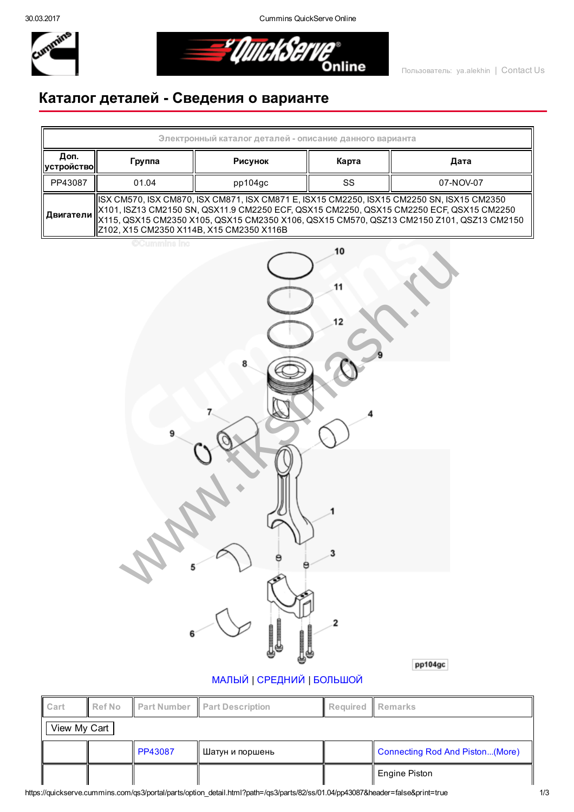30.03.2017 Cummins QuickServe Online



<u> = "QuickSer</u> Online

## Каталог деталей Сведения о варианте

| Электронный каталог деталей - описание данного варианта |                                                                                                                                                                                                                                                                                                                              |         |       |           |  |  |  |
|---------------------------------------------------------|------------------------------------------------------------------------------------------------------------------------------------------------------------------------------------------------------------------------------------------------------------------------------------------------------------------------------|---------|-------|-----------|--|--|--|
| Доп.<br>∣устройство∣                                    | Группа                                                                                                                                                                                                                                                                                                                       | Рисунок | Карта | Дата      |  |  |  |
| PP43087                                                 | 01.04                                                                                                                                                                                                                                                                                                                        | pp104gc | SS    | 07-NOV-07 |  |  |  |
| Двигатели                                               | ISX CM570, ISX CM870, ISX CM871, ISX CM871 E, ISX15 CM2250, ISX15 CM2250 SN, ISX15 CM2350<br>X101, ISZ13 CM2150 SN, QSX11.9 CM2250 ECF, QSX15 CM2250, QSX15 CM2250 ECF, QSX15 CM2250<br>X115, QSX15 CM2350 X105, QSX15 CM2350 X106, QSX15 CM570, QSZ13 CM2150 Z101, QSZ13 CM2150<br>Z102, X15 CM2350 X114B, X15 CM2350 X116B |         |       |           |  |  |  |
| <b>OCummins</b> inc<br>10<br>12<br>3                    |                                                                                                                                                                                                                                                                                                                              |         |       |           |  |  |  |

 $\overline{\mathbf{2}}$ 

pp104gc

## [МАЛЫЙ](javascript:swap_img() | [СРЕДНИЙ](javascript:swap_img() | [БОЛЬШОЙ](javascript:swap_img()

| Cart         | <b>Ref No</b> |                | <b>Part Number Part Description</b> | Required Remarks |                                 |  |
|--------------|---------------|----------------|-------------------------------------|------------------|---------------------------------|--|
| View My Cart |               |                |                                     |                  |                                 |  |
|              |               | <b>PP43087</b> | Шатун и поршень                     |                  | Connecting Rod And Piston(More) |  |
|              |               |                |                                     |                  | ∥ Engine Piston                 |  |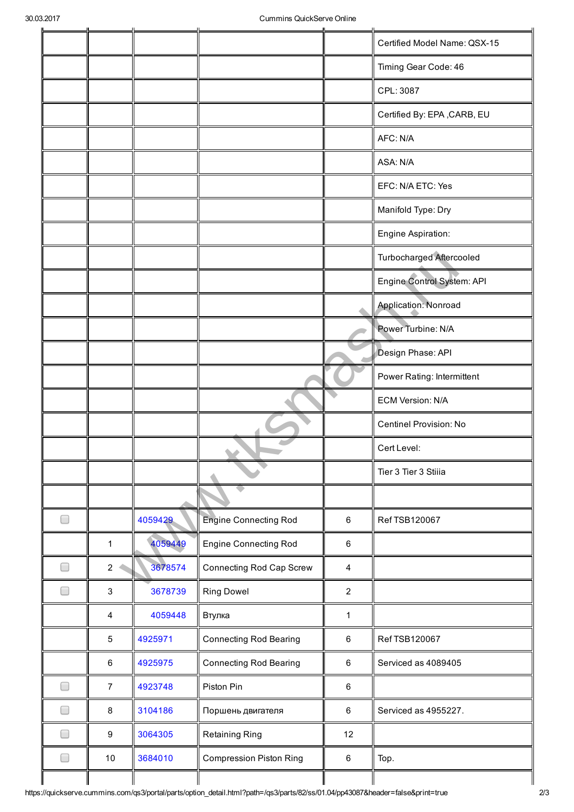|                          |                  |         |                                |                | Certified Model Name: QSX-15    |
|--------------------------|------------------|---------|--------------------------------|----------------|---------------------------------|
|                          |                  |         |                                |                | Timing Gear Code: 46            |
|                          |                  |         |                                |                | CPL: 3087                       |
|                          |                  |         |                                |                | Certified By: EPA, CARB, EU     |
|                          |                  |         |                                |                | AFC: N/A                        |
|                          |                  |         |                                |                | ASA: N/A                        |
|                          |                  |         |                                |                | EFC: N/A ETC: Yes               |
|                          |                  |         |                                |                | Manifold Type: Dry              |
|                          |                  |         |                                |                | Engine Aspiration:              |
|                          |                  |         |                                |                | <b>Turbocharged Aftercooled</b> |
|                          |                  |         |                                |                | Engine Control System: API      |
|                          |                  |         |                                |                | Application: Nonroad            |
|                          |                  |         |                                |                | Power Turbine: N/A              |
|                          |                  |         |                                |                | Design Phase: API               |
|                          |                  |         |                                |                | Power Rating: Intermittent      |
|                          |                  |         |                                |                | <b>ECM Version: N/A</b>         |
|                          |                  |         |                                |                | Centinel Provision: No          |
|                          |                  |         |                                |                | Cert Level:                     |
|                          |                  |         |                                |                | Tier 3 Tier 3 Stiiia            |
|                          |                  |         |                                |                |                                 |
| $\Box$                   |                  | 4059429 | <b>Engine Connecting Rod</b>   | $\,6$          | Ref TSB120067                   |
|                          | 1                | 4059449 | <b>Engine Connecting Rod</b>   | $\,6\,$        |                                 |
| $\Box$                   | 2                | 3678574 | Connecting Rod Cap Screw       | $\overline{4}$ |                                 |
|                          | 3                | 3678739 | <b>Ring Dowel</b>              | $\overline{2}$ |                                 |
|                          | 4                | 4059448 | Втулка                         | $\mathbf{1}$   |                                 |
|                          | $\mathbf 5$      | 4925971 | <b>Connecting Rod Bearing</b>  | $\,6\,$        | Ref TSB120067                   |
|                          | $\,6\,$          | 4925975 | <b>Connecting Rod Bearing</b>  | $\,6\,$        | Serviced as 4089405             |
| ۰                        | $\overline{7}$   | 4923748 | Piston Pin                     | $\,6\,$        |                                 |
|                          | 8                | 3104186 | Поршень двигателя              | 6              | Serviced as 4955227.            |
|                          | $\boldsymbol{9}$ | 3064305 | Retaining Ring                 | 12             |                                 |
| $\overline{\phantom{a}}$ | 10               | 3684010 | <b>Compression Piston Ring</b> | $\,6\,$        | Top.                            |
|                          |                  |         |                                |                |                                 |